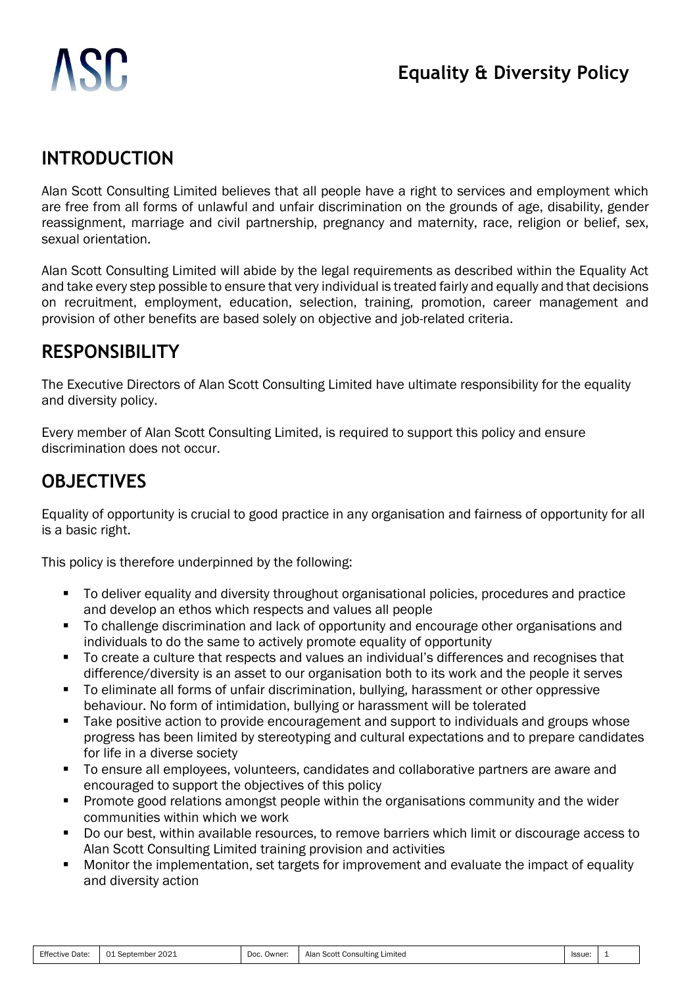# ISC.

#### **INTRODUCTION**

Alan Scott Consulting Limited believes that all people have a right to services and employment which are free from all forms of unlawful and unfair discrimination on the grounds of age, disability, gender reassignment, marriage and civil partnership, pregnancy and maternity, race, religion or belief, sex, sexual orientation.

Alan Scott Consulting Limited will abide by the legal requirements as described within the Equality Act and take every step possible to ensure that very individual is treated fairly and equally and that decisions on recruitment, employment, education, selection, training, promotion, career management and provision of other benefits are based solely on objective and job-related criteria.

#### **RESPONSIBILITY**

The Executive Directors of Alan Scott Consulting Limited have ultimate responsibility for the equality and diversity policy.

Every member of Alan Scott Consulting Limited, is required to support this policy and ensure discrimination does not occur.

# **OBJECTIVES**

Equality of opportunity is crucial to good practice in any organisation and fairness of opportunity for all is a basic right.

This policy is therefore underpinned by the following:

- To deliver equality and diversity throughout organisational policies, procedures and practice and develop an ethos which respects and values all people
- To challenge discrimination and lack of opportunity and encourage other organisations and individuals to do the same to actively promote equality of opportunity
- To create a culture that respects and values an individual's differences and recognises that difference/diversity is an asset to our organisation both to its work and the people it serves
- To eliminate all forms of unfair discrimination, bullying, harassment or other oppressive behaviour. No form of intimidation, bullying or harassment will be tolerated
- Take positive action to provide encouragement and support to individuals and groups whose progress has been limited by stereotyping and cultural expectations and to prepare candidates for life in a diverse society
- To ensure all employees, volunteers, candidates and collaborative partners are aware and encouraged to support the objectives of this policy
- **•** Promote good relations amongst people within the organisations community and the wider communities within which we work
- Do our best, within available resources, to remove barriers which limit or discourage access to Alan Scott Consulting Limited training provision and activities
- Monitor the implementation, set targets for improvement and evaluate the impact of equality and diversity action

| Effective<br>Date | 2021<br>01<br>September | Doc.<br>Owner: | Alan<br>ا Scott Consulting Limited | Issue: |  |
|-------------------|-------------------------|----------------|------------------------------------|--------|--|
|-------------------|-------------------------|----------------|------------------------------------|--------|--|